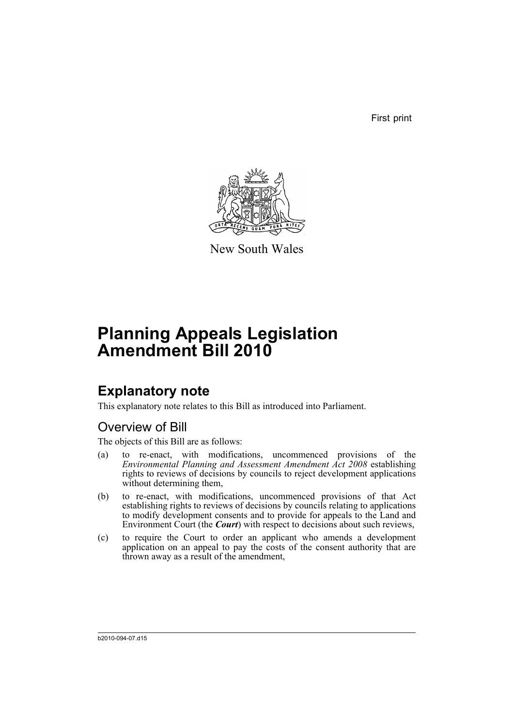First print



New South Wales

# **Planning Appeals Legislation Amendment Bill 2010**

## **Explanatory note**

This explanatory note relates to this Bill as introduced into Parliament.

## Overview of Bill

The objects of this Bill are as follows:

- (a) to re-enact, with modifications, uncommenced provisions of the *Environmental Planning and Assessment Amendment Act 2008* establishing rights to reviews of decisions by councils to reject development applications without determining them,
- (b) to re-enact, with modifications, uncommenced provisions of that Act establishing rights to reviews of decisions by councils relating to applications to modify development consents and to provide for appeals to the Land and Environment Court (the *Court*) with respect to decisions about such reviews,
- (c) to require the Court to order an applicant who amends a development application on an appeal to pay the costs of the consent authority that are thrown away as a result of the amendment,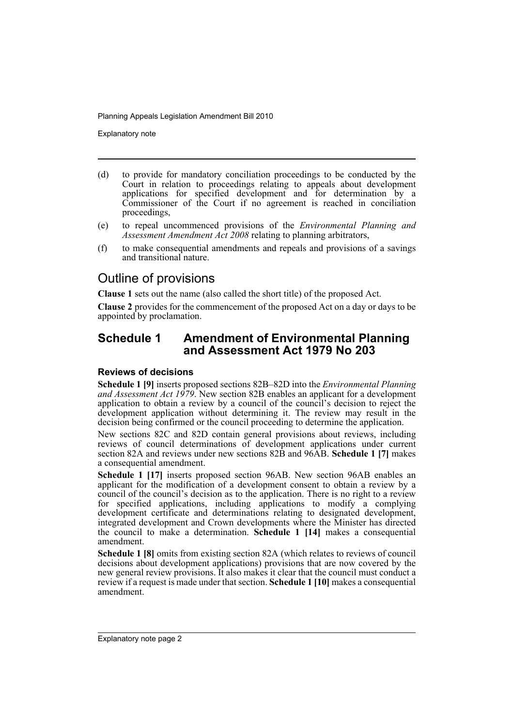Explanatory note

- (d) to provide for mandatory conciliation proceedings to be conducted by the Court in relation to proceedings relating to appeals about development applications for specified development and for determination by a Commissioner of the Court if no agreement is reached in conciliation proceedings,
- (e) to repeal uncommenced provisions of the *Environmental Planning and Assessment Amendment Act 2008* relating to planning arbitrators,
- (f) to make consequential amendments and repeals and provisions of a savings and transitional nature.

## Outline of provisions

**Clause 1** sets out the name (also called the short title) of the proposed Act.

**Clause 2** provides for the commencement of the proposed Act on a day or days to be appointed by proclamation.

## **Schedule 1 Amendment of Environmental Planning and Assessment Act 1979 No 203**

### **Reviews of decisions**

**Schedule 1 [9]** inserts proposed sections 82B–82D into the *Environmental Planning and Assessment Act 1979*. New section 82B enables an applicant for a development application to obtain a review by a council of the council's decision to reject the development application without determining it. The review may result in the decision being confirmed or the council proceeding to determine the application.

New sections 82C and 82D contain general provisions about reviews, including reviews of council determinations of development applications under current section 82A and reviews under new sections 82B and 96AB. **Schedule 1 [7]** makes a consequential amendment.

**Schedule 1 [17]** inserts proposed section 96AB. New section 96AB enables an applicant for the modification of a development consent to obtain a review by a council of the council's decision as to the application. There is no right to a review for specified applications, including applications to modify a complying development certificate and determinations relating to designated development, integrated development and Crown developments where the Minister has directed the council to make a determination. **Schedule 1 [14]** makes a consequential amendment.

**Schedule 1 [8]** omits from existing section 82A (which relates to reviews of council decisions about development applications) provisions that are now covered by the new general review provisions. It also makes it clear that the council must conduct a review if a request is made under that section. **Schedule 1 [10]** makes a consequential amendment.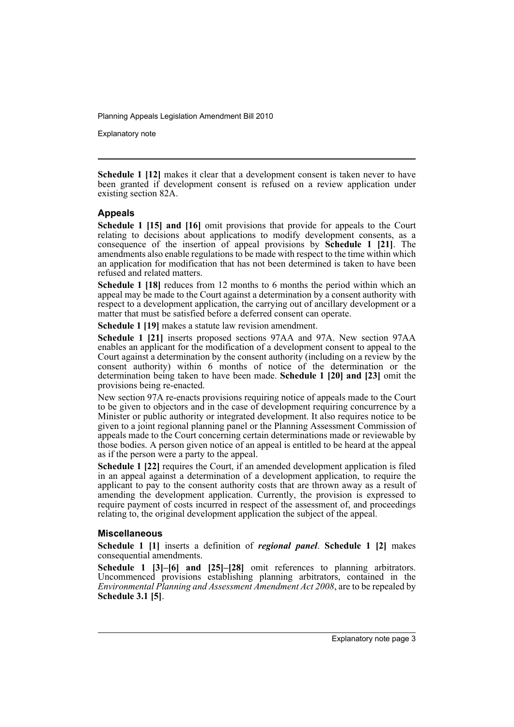Explanatory note

**Schedule 1 [12]** makes it clear that a development consent is taken never to have been granted if development consent is refused on a review application under existing section 82A.

### **Appeals**

**Schedule 1 [15] and [16]** omit provisions that provide for appeals to the Court relating to decisions about applications to modify development consents, as a consequence of the insertion of appeal provisions by **Schedule 1 [21]**. The amendments also enable regulations to be made with respect to the time within which an application for modification that has not been determined is taken to have been refused and related matters.

**Schedule 1 [18]** reduces from 12 months to 6 months the period within which an appeal may be made to the Court against a determination by a consent authority with respect to a development application, the carrying out of ancillary development or a matter that must be satisfied before a deferred consent can operate.

**Schedule 1 [19]** makes a statute law revision amendment.

**Schedule 1 [21]** inserts proposed sections 97AA and 97A. New section 97AA enables an applicant for the modification of a development consent to appeal to the Court against a determination by the consent authority (including on a review by the consent authority) within 6 months of notice of the determination or the determination being taken to have been made. **Schedule 1 [20] and [23]** omit the provisions being re-enacted.

New section 97A re-enacts provisions requiring notice of appeals made to the Court to be given to objectors and in the case of development requiring concurrence by a Minister or public authority or integrated development. It also requires notice to be given to a joint regional planning panel or the Planning Assessment Commission of appeals made to the Court concerning certain determinations made or reviewable by those bodies. A person given notice of an appeal is entitled to be heard at the appeal as if the person were a party to the appeal.

**Schedule 1 [22]** requires the Court, if an amended development application is filed in an appeal against a determination of a development application, to require the applicant to pay to the consent authority costs that are thrown away as a result of amending the development application. Currently, the provision is expressed to require payment of costs incurred in respect of the assessment of, and proceedings relating to, the original development application the subject of the appeal.

### **Miscellaneous**

**Schedule 1 [1]** inserts a definition of *regional panel*. **Schedule 1 [2]** makes consequential amendments.

**Schedule 1 [3]–[6] and [25]–[28]** omit references to planning arbitrators. Uncommenced provisions establishing planning arbitrators, contained in the *Environmental Planning and Assessment Amendment Act 2008*, are to be repealed by **Schedule 3.1 [5]**.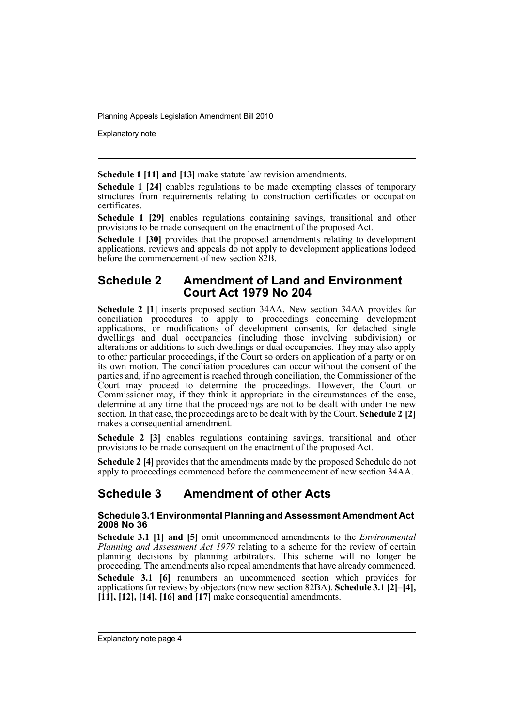Explanatory note

**Schedule 1 [11] and [13]** make statute law revision amendments.

**Schedule 1 [24]** enables regulations to be made exempting classes of temporary structures from requirements relating to construction certificates or occupation certificates.

**Schedule 1 [29]** enables regulations containing savings, transitional and other provisions to be made consequent on the enactment of the proposed Act.

**Schedule 1 [30]** provides that the proposed amendments relating to development applications, reviews and appeals do not apply to development applications lodged before the commencement of new section 82B.

## **Schedule 2 Amendment of Land and Environment Court Act 1979 No 204**

**Schedule 2 [1]** inserts proposed section 34AA. New section 34AA provides for conciliation procedures to apply to proceedings concerning development applications, or modifications of development consents, for detached single dwellings and dual occupancies (including those involving subdivision) or alterations or additions to such dwellings or dual occupancies. They may also apply to other particular proceedings, if the Court so orders on application of a party or on its own motion. The conciliation procedures can occur without the consent of the parties and, if no agreement is reached through conciliation, the Commissioner of the Court may proceed to determine the proceedings. However, the Court or Commissioner may, if they think it appropriate in the circumstances of the case, determine at any time that the proceedings are not to be dealt with under the new section. In that case, the proceedings are to be dealt with by the Court. **Schedule 2 [2]** makes a consequential amendment.

**Schedule 2 [3]** enables regulations containing savings, transitional and other provisions to be made consequent on the enactment of the proposed Act.

**Schedule 2 [4]** provides that the amendments made by the proposed Schedule do not apply to proceedings commenced before the commencement of new section 34AA.

## **Schedule 3 Amendment of other Acts**

### **Schedule 3.1 Environmental Planning and Assessment Amendment Act 2008 No 36**

**Schedule 3.1 [1] and [5]** omit uncommenced amendments to the *Environmental Planning and Assessment Act 1979* relating to a scheme for the review of certain planning decisions by planning arbitrators. This scheme will no longer be proceeding. The amendments also repeal amendments that have already commenced. **Schedule 3.1 [6]** renumbers an uncommenced section which provides for applications for reviews by objectors (now new section 82BA). **Schedule 3.1 [2]–[4], [11], [12], [14], [16] and [17]** make consequential amendments.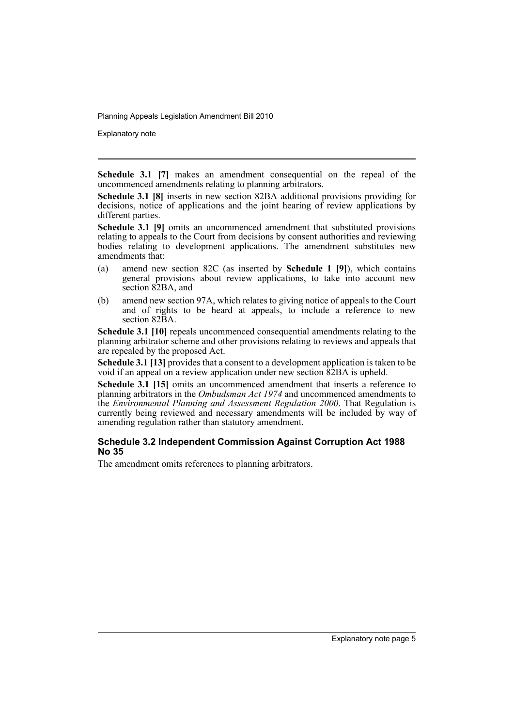Explanatory note

**Schedule 3.1 [7]** makes an amendment consequential on the repeal of the uncommenced amendments relating to planning arbitrators.

**Schedule 3.1 [8]** inserts in new section 82BA additional provisions providing for decisions, notice of applications and the joint hearing of review applications by different parties.

**Schedule 3.1 [9]** omits an uncommenced amendment that substituted provisions relating to appeals to the Court from decisions by consent authorities and reviewing bodies relating to development applications. The amendment substitutes new amendments that:

- (a) amend new section 82C (as inserted by **Schedule 1 [9]**), which contains general provisions about review applications, to take into account new section 82<sub>BA</sub>, and
- (b) amend new section 97A, which relates to giving notice of appeals to the Court and of rights to be heard at appeals, to include a reference to new section 82BA.

**Schedule 3.1 [10]** repeals uncommenced consequential amendments relating to the planning arbitrator scheme and other provisions relating to reviews and appeals that are repealed by the proposed Act.

**Schedule 3.1 [13]** provides that a consent to a development application is taken to be void if an appeal on a review application under new section  $\hat{82}BA$  is upheld.

**Schedule 3.1 [15]** omits an uncommenced amendment that inserts a reference to planning arbitrators in the *Ombudsman Act 1974* and uncommenced amendments to the *Environmental Planning and Assessment Regulation 2000*. That Regulation is currently being reviewed and necessary amendments will be included by way of amending regulation rather than statutory amendment.

### **Schedule 3.2 Independent Commission Against Corruption Act 1988 No 35**

The amendment omits references to planning arbitrators.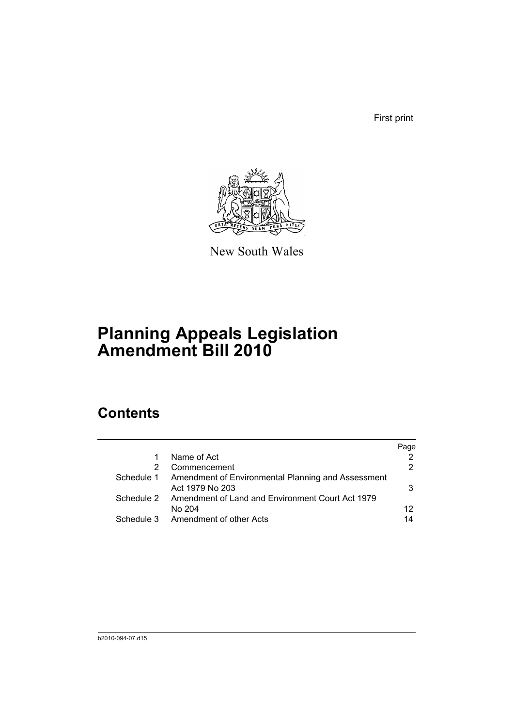First print



New South Wales

# **Planning Appeals Legislation Amendment Bill 2010**

## **Contents**

|            |                                                             | Page |
|------------|-------------------------------------------------------------|------|
| 1          | Name of Act                                                 |      |
|            | Commencement                                                | 2    |
| Schedule 1 | Amendment of Environmental Planning and Assessment          |      |
|            | Act 1979 No 203                                             | 3    |
|            | Schedule 2 Amendment of Land and Environment Court Act 1979 |      |
|            | No 204                                                      | 12   |
|            | Schedule 3 Amendment of other Acts                          | 14   |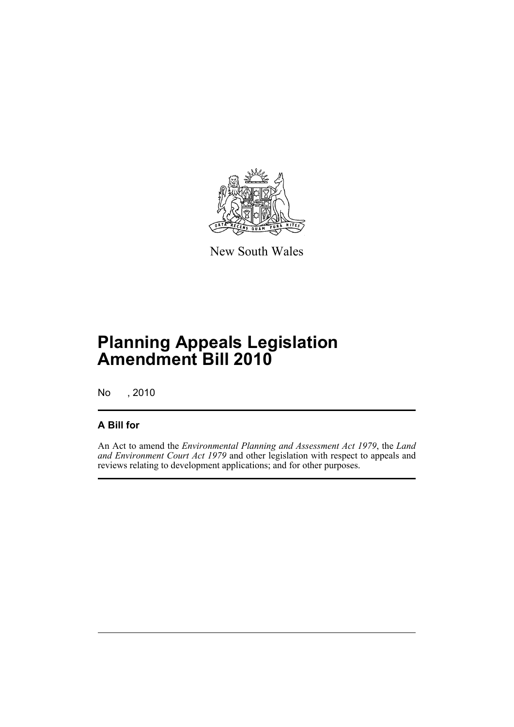

New South Wales

# **Planning Appeals Legislation Amendment Bill 2010**

No , 2010

## **A Bill for**

An Act to amend the *Environmental Planning and Assessment Act 1979*, the *Land and Environment Court Act 1979* and other legislation with respect to appeals and reviews relating to development applications; and for other purposes.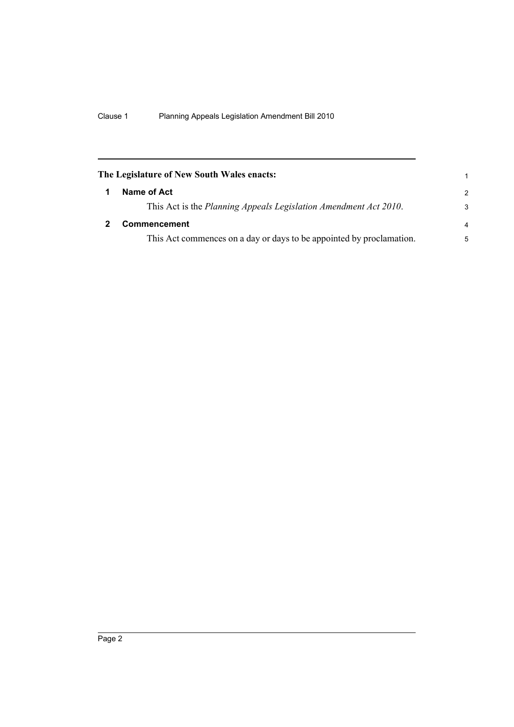<span id="page-9-1"></span><span id="page-9-0"></span>

| The Legislature of New South Wales enacts: |                                                                      |   |
|--------------------------------------------|----------------------------------------------------------------------|---|
|                                            | Name of Act                                                          | 2 |
|                                            | This Act is the Planning Appeals Legislation Amendment Act 2010.     | 3 |
|                                            | <b>Commencement</b>                                                  | 4 |
|                                            | This Act commences on a day or days to be appointed by proclamation. | 5 |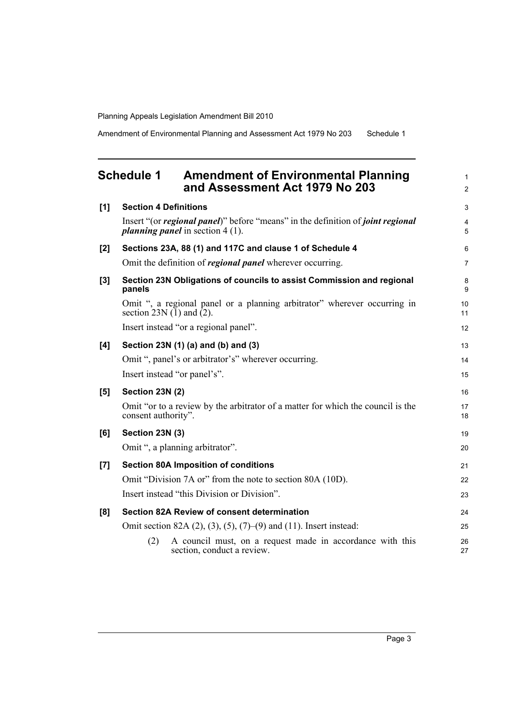Amendment of Environmental Planning and Assessment Act 1979 No 203 Schedule 1

## <span id="page-10-0"></span>**Schedule 1 Amendment of Environmental Planning and Assessment Act 1979 No 203**

| [1]                 | <b>Section 4 Definitions</b>                                                                                                                | 3              |
|---------------------|---------------------------------------------------------------------------------------------------------------------------------------------|----------------|
|                     | Insert "(or <i>regional panel</i> )" before "means" in the definition of <i>joint regional</i><br><i>planning panel</i> in section $4(1)$ . | 4<br>5         |
| [2]                 | Sections 23A, 88 (1) and 117C and clause 1 of Schedule 4                                                                                    | 6              |
|                     | Omit the definition of <i>regional panel</i> wherever occurring.                                                                            | $\overline{7}$ |
| [3]                 | Section 23N Obligations of councils to assist Commission and regional<br>panels                                                             | 8<br>9         |
|                     | Omit ", a regional panel or a planning arbitrator" wherever occurring in<br>section $23N(1)$ and $(2)$ .                                    | 10<br>11       |
|                     | Insert instead "or a regional panel".                                                                                                       | 12             |
| [4]                 | Section 23N (1) (a) and (b) and (3)                                                                                                         | 13             |
|                     | Omit ", panel's or arbitrator's" wherever occurring.                                                                                        | 14             |
|                     | Insert instead "or panel's".                                                                                                                | 15             |
| [5]                 | <b>Section 23N (2)</b>                                                                                                                      | 16             |
|                     | Omit "or to a review by the arbitrator of a matter for which the council is the<br>consent authority".                                      | 17<br>18       |
| [6]                 | Section 23N (3)                                                                                                                             | 19             |
|                     | Omit ", a planning arbitrator".                                                                                                             | 20             |
| $\lbrack 7 \rbrack$ | <b>Section 80A Imposition of conditions</b>                                                                                                 | 21             |
|                     | Omit "Division 7A or" from the note to section 80A (10D).                                                                                   | 22             |
|                     | Insert instead "this Division or Division".                                                                                                 | 23             |
| [8]                 | Section 82A Review of consent determination                                                                                                 | 24             |
|                     | Omit section 82A $(2)$ , $(3)$ , $(5)$ , $(7)$ – $(9)$ and $(11)$ . Insert instead:                                                         | 25             |
|                     | A council must, on a request made in accordance with this<br>(2)<br>section, conduct a review.                                              | 26<br>27       |

1 2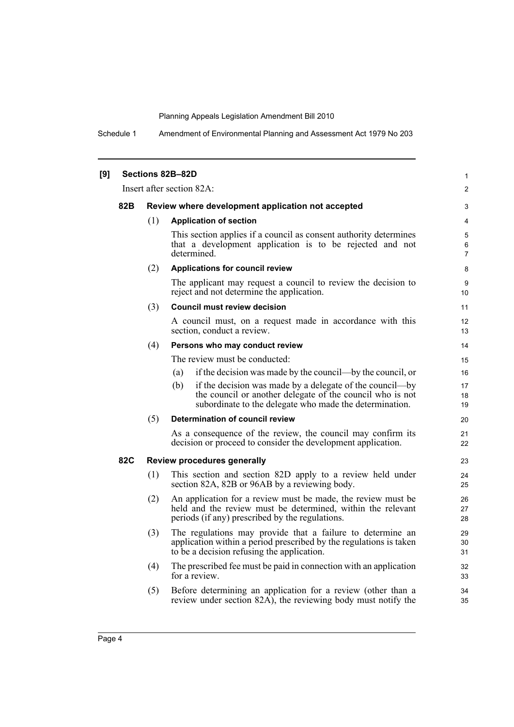Schedule 1 Amendment of Environmental Planning and Assessment Act 1979 No 203

| [9] | Sections 82B-82D |                                                   |                                                                                                                                                                                         |                          |  |
|-----|------------------|---------------------------------------------------|-----------------------------------------------------------------------------------------------------------------------------------------------------------------------------------------|--------------------------|--|
|     |                  | Insert after section 82A:                         |                                                                                                                                                                                         |                          |  |
|     | 82B              | Review where development application not accepted |                                                                                                                                                                                         |                          |  |
|     |                  | (1)                                               | <b>Application of section</b>                                                                                                                                                           | $\overline{4}$           |  |
|     |                  |                                                   | This section applies if a council as consent authority determines<br>that a development application is to be rejected and not<br>determined                                             | 5<br>6<br>$\overline{7}$ |  |
|     |                  | (2)                                               | Applications for council review                                                                                                                                                         | 8                        |  |
|     |                  |                                                   | The applicant may request a council to review the decision to<br>reject and not determine the application.                                                                              | 9<br>10                  |  |
|     |                  | (3)                                               | <b>Council must review decision</b>                                                                                                                                                     | 11                       |  |
|     |                  |                                                   | A council must, on a request made in accordance with this<br>section, conduct a review.                                                                                                 | 12<br>13                 |  |
|     |                  | (4)                                               | Persons who may conduct review                                                                                                                                                          | 14                       |  |
|     |                  |                                                   | The review must be conducted:                                                                                                                                                           | 15                       |  |
|     |                  |                                                   | if the decision was made by the council—by the council, or<br>(a)                                                                                                                       | 16                       |  |
|     |                  |                                                   | if the decision was made by a delegate of the council—by<br>(b)<br>the council or another delegate of the council who is not<br>subordinate to the delegate who made the determination. | 17<br>18<br>19           |  |
|     |                  | (5)                                               | Determination of council review                                                                                                                                                         | 20                       |  |
|     |                  |                                                   | As a consequence of the review, the council may confirm its<br>decision or proceed to consider the development application.                                                             | 21<br>22                 |  |
|     | <b>82C</b>       |                                                   | <b>Review procedures generally</b>                                                                                                                                                      | 23                       |  |
|     |                  | (1)                                               | This section and section 82D apply to a review held under<br>section 82A, 82B or 96AB by a reviewing body.                                                                              | 24<br>25                 |  |
|     |                  | (2)                                               | An application for a review must be made, the review must be<br>held and the review must be determined, within the relevant<br>periods (if any) prescribed by the regulations.          | 26<br>27<br>28           |  |
|     |                  | (3)                                               | The regulations may provide that a failure to determine an<br>application within a period prescribed by the regulations is taken<br>to be a decision refusing the application.          | 29<br>30<br>31           |  |
|     |                  | (4)                                               | The prescribed fee must be paid in connection with an application<br>for a review.                                                                                                      | 32<br>33                 |  |
|     |                  | (5)                                               | Before determining an application for a review (other than a<br>review under section $82\overline{A}$ , the reviewing body must notify the                                              | 34<br>35                 |  |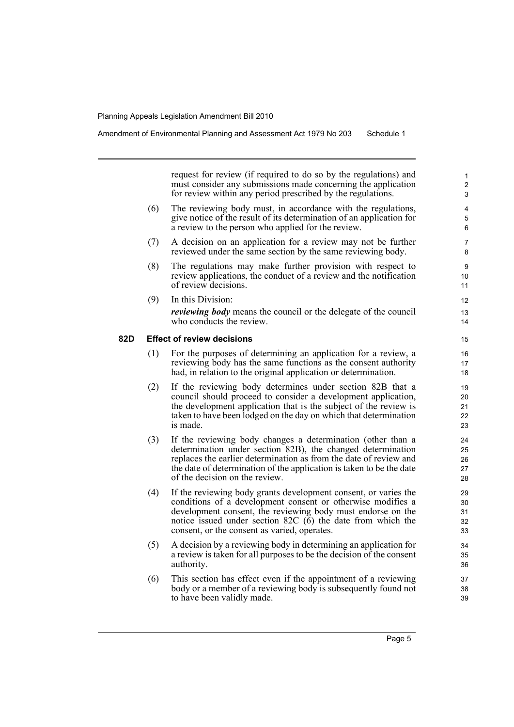request for review (if required to do so by the regulations) and must consider any submissions made concerning the application for review within any period prescribed by the regulations.

- (6) The reviewing body must, in accordance with the regulations, give notice of the result of its determination of an application for a review to the person who applied for the review.
- (7) A decision on an application for a review may not be further reviewed under the same section by the same reviewing body.
- (8) The regulations may make further provision with respect to review applications, the conduct of a review and the notification of review decisions.
- (9) In this Division: *reviewing body* means the council or the delegate of the council who conducts the review.

#### **82D Effect of review decisions**

- (1) For the purposes of determining an application for a review, a reviewing body has the same functions as the consent authority had, in relation to the original application or determination.
- (2) If the reviewing body determines under section 82B that a council should proceed to consider a development application, the development application that is the subject of the review is taken to have been lodged on the day on which that determination is made.
- (3) If the reviewing body changes a determination (other than a determination under section 82B), the changed determination replaces the earlier determination as from the date of review and the date of determination of the application is taken to be the date of the decision on the review.
- (4) If the reviewing body grants development consent, or varies the conditions of a development consent or otherwise modifies a development consent, the reviewing body must endorse on the notice issued under section 82C (6) the date from which the consent, or the consent as varied, operates.
- (5) A decision by a reviewing body in determining an application for a review is taken for all purposes to be the decision of the consent authority.
- (6) This section has effect even if the appointment of a reviewing body or a member of a reviewing body is subsequently found not to have been validly made.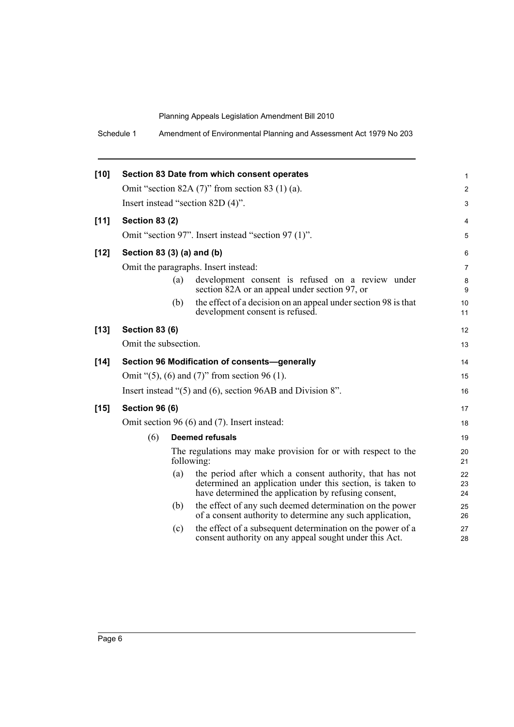Schedule 1 Amendment of Environmental Planning and Assessment Act 1979 No 203

| $[10]$ |                                                                     |                            | Section 83 Date from which consent operates                                                                                                                                   | 1              |  |  |  |
|--------|---------------------------------------------------------------------|----------------------------|-------------------------------------------------------------------------------------------------------------------------------------------------------------------------------|----------------|--|--|--|
|        | Omit "section 82A $(7)$ " from section 83 $(1)$ (a).                |                            |                                                                                                                                                                               |                |  |  |  |
|        | Insert instead "section 82D (4)".                                   |                            |                                                                                                                                                                               |                |  |  |  |
| $[11]$ | <b>Section 83 (2)</b>                                               |                            |                                                                                                                                                                               | 4              |  |  |  |
|        | Omit "section 97". Insert instead "section 97 (1)".                 |                            |                                                                                                                                                                               |                |  |  |  |
| $[12]$ |                                                                     | Section 83 (3) (a) and (b) |                                                                                                                                                                               |                |  |  |  |
|        |                                                                     |                            | Omit the paragraphs. Insert instead:                                                                                                                                          | $\overline{7}$ |  |  |  |
|        |                                                                     | (a)                        | development consent is refused on a review under<br>section 82A or an appeal under section 97, or                                                                             | 8<br>9         |  |  |  |
|        |                                                                     | (b)                        | the effect of a decision on an appeal under section 98 is that<br>development consent is refused.                                                                             | 10<br>11       |  |  |  |
| $[13]$ | <b>Section 83 (6)</b>                                               |                            |                                                                                                                                                                               | 12             |  |  |  |
|        | Omit the subsection.                                                |                            |                                                                                                                                                                               |                |  |  |  |
| $[14]$ | Section 96 Modification of consents-generally                       |                            |                                                                                                                                                                               |                |  |  |  |
|        | Omit " $(5)$ , $(6)$ and $(7)$ " from section 96 $(1)$ .            |                            |                                                                                                                                                                               |                |  |  |  |
|        | Insert instead $\degree$ (5) and (6), section 96AB and Division 8". |                            |                                                                                                                                                                               |                |  |  |  |
| $[15]$ | <b>Section 96 (6)</b>                                               |                            |                                                                                                                                                                               | 17             |  |  |  |
|        |                                                                     |                            | Omit section 96 (6) and (7). Insert instead:                                                                                                                                  | 18             |  |  |  |
|        | (6)                                                                 |                            | <b>Deemed refusals</b>                                                                                                                                                        | 19             |  |  |  |
|        |                                                                     |                            | The regulations may make provision for or with respect to the<br>following:                                                                                                   | 20<br>21       |  |  |  |
|        |                                                                     | (a)                        | the period after which a consent authority, that has not<br>determined an application under this section, is taken to<br>have determined the application by refusing consent, | 22<br>23<br>24 |  |  |  |
|        |                                                                     | (b)                        | the effect of any such deemed determination on the power<br>of a consent authority to determine any such application,                                                         | 25<br>26       |  |  |  |
|        |                                                                     | (c)                        | the effect of a subsequent determination on the power of a<br>consent authority on any appeal sought under this Act.                                                          | 27<br>28       |  |  |  |
|        |                                                                     |                            |                                                                                                                                                                               |                |  |  |  |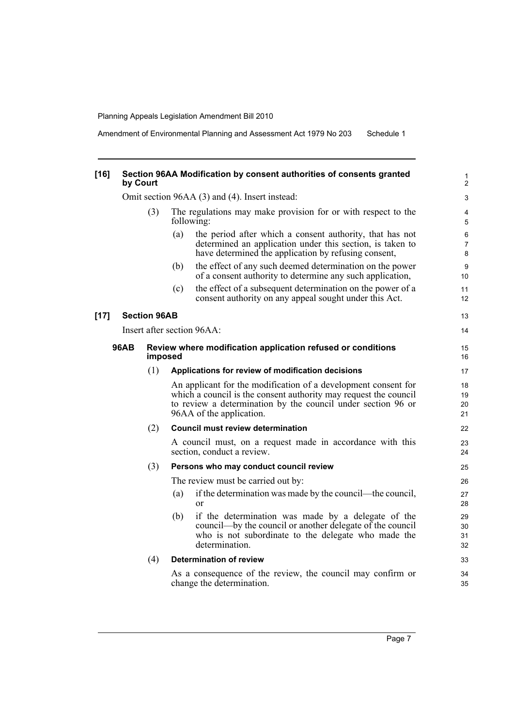Amendment of Environmental Planning and Assessment Act 1979 No 203 Schedule 1

| $[16]$ | Section 96AA Modification by consent authorities of consents granted<br>by Court |                     |                                                                                                                                                                                                                                | $\mathbf{1}$<br>$\overline{2}$ |  |  |
|--------|----------------------------------------------------------------------------------|---------------------|--------------------------------------------------------------------------------------------------------------------------------------------------------------------------------------------------------------------------------|--------------------------------|--|--|
|        |                                                                                  |                     | Omit section 96AA (3) and (4). Insert instead:                                                                                                                                                                                 | 3                              |  |  |
|        |                                                                                  | (3)                 | The regulations may make provision for or with respect to the<br>following:                                                                                                                                                    |                                |  |  |
|        |                                                                                  |                     | (a)<br>the period after which a consent authority, that has not<br>determined an application under this section, is taken to<br>have determined the application by refusing consent,                                           | 6<br>$\overline{7}$<br>8       |  |  |
|        |                                                                                  |                     | the effect of any such deemed determination on the power<br>(b)<br>of a consent authority to determine any such application,                                                                                                   | 9<br>10                        |  |  |
|        |                                                                                  |                     | the effect of a subsequent determination on the power of a<br>(c)<br>consent authority on any appeal sought under this Act.                                                                                                    | 11<br>12                       |  |  |
| $[17]$ |                                                                                  | <b>Section 96AB</b> |                                                                                                                                                                                                                                | 13                             |  |  |
|        |                                                                                  |                     | Insert after section 96AA:                                                                                                                                                                                                     | 14                             |  |  |
|        | 96AB<br>Review where modification application refused or conditions<br>imposed   |                     |                                                                                                                                                                                                                                |                                |  |  |
|        |                                                                                  | (1)                 | Applications for review of modification decisions                                                                                                                                                                              | 17                             |  |  |
|        |                                                                                  |                     | An applicant for the modification of a development consent for<br>which a council is the consent authority may request the council<br>to review a determination by the council under section 96 or<br>96AA of the application. | 18<br>19<br>20<br>21           |  |  |
|        |                                                                                  | (2)                 | <b>Council must review determination</b>                                                                                                                                                                                       | 22                             |  |  |
|        |                                                                                  |                     | A council must, on a request made in accordance with this<br>section, conduct a review.                                                                                                                                        | 23<br>24                       |  |  |
|        |                                                                                  | (3)                 | Persons who may conduct council review                                                                                                                                                                                         | 25                             |  |  |
|        |                                                                                  |                     | The review must be carried out by:                                                                                                                                                                                             | 26                             |  |  |
|        |                                                                                  |                     | if the determination was made by the council—the council,<br>(a)<br>$\alpha$                                                                                                                                                   | 27<br>28                       |  |  |
|        |                                                                                  |                     | if the determination was made by a delegate of the<br>(b)<br>council—by the council or another delegate of the council<br>who is not subordinate to the delegate who made the<br>determination.                                | 29<br>30<br>31<br>32           |  |  |
|        |                                                                                  | (4)                 | <b>Determination of review</b>                                                                                                                                                                                                 | 33                             |  |  |
|        |                                                                                  |                     | As a consequence of the review, the council may confirm or<br>change the determination.                                                                                                                                        | 34<br>35                       |  |  |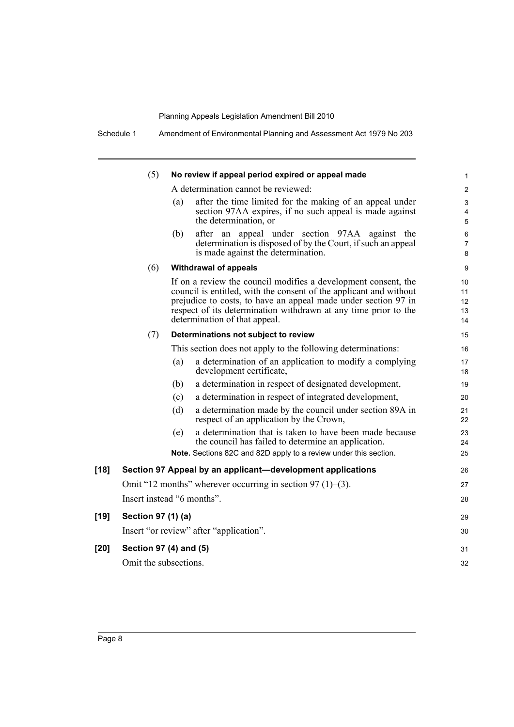Schedule 1 Amendment of Environmental Planning and Assessment Act 1979 No 203

|        | (5)                        |     | No review if appeal period expired or appeal made                                                                                                                                                                                                                                                          | 1                          |
|--------|----------------------------|-----|------------------------------------------------------------------------------------------------------------------------------------------------------------------------------------------------------------------------------------------------------------------------------------------------------------|----------------------------|
|        |                            |     | A determination cannot be reviewed:                                                                                                                                                                                                                                                                        | $\overline{\mathbf{c}}$    |
|        |                            | (a) | after the time limited for the making of an appeal under<br>section 97AA expires, if no such appeal is made against<br>the determination, or                                                                                                                                                               | 3<br>4<br>5                |
|        |                            | (b) | after an appeal under section 97AA against the<br>determination is disposed of by the Court, if such an appeal<br>is made against the determination.                                                                                                                                                       | 6<br>7<br>8                |
|        | (6)                        |     | <b>Withdrawal of appeals</b>                                                                                                                                                                                                                                                                               | 9                          |
|        |                            |     | If on a review the council modifies a development consent, the<br>council is entitled, with the consent of the applicant and without<br>prejudice to costs, to have an appeal made under section 97 in<br>respect of its determination withdrawn at any time prior to the<br>determination of that appeal. | 10<br>11<br>12<br>13<br>14 |
|        | (7)                        |     | Determinations not subject to review                                                                                                                                                                                                                                                                       | 15                         |
|        |                            |     | This section does not apply to the following determinations:                                                                                                                                                                                                                                               | 16                         |
|        |                            | (a) | a determination of an application to modify a complying<br>development certificate,                                                                                                                                                                                                                        | 17<br>18                   |
|        |                            | (b) | a determination in respect of designated development,                                                                                                                                                                                                                                                      | 19                         |
|        |                            | (c) | a determination in respect of integrated development,                                                                                                                                                                                                                                                      | 20                         |
|        |                            | (d) | a determination made by the council under section 89A in<br>respect of an application by the Crown,                                                                                                                                                                                                        | 21<br>22                   |
|        |                            | (e) | a determination that is taken to have been made because<br>the council has failed to determine an application.                                                                                                                                                                                             | 23<br>24                   |
|        |                            |     | Note. Sections 82C and 82D apply to a review under this section.                                                                                                                                                                                                                                           | 25                         |
| $[18]$ |                            |     | Section 97 Appeal by an applicant-development applications                                                                                                                                                                                                                                                 | 26                         |
|        |                            |     | Omit "12 months" wherever occurring in section 97 (1)–(3).                                                                                                                                                                                                                                                 | 27                         |
|        | Insert instead "6 months". |     |                                                                                                                                                                                                                                                                                                            | 28                         |
| [19]   | Section 97 (1) (a)         |     |                                                                                                                                                                                                                                                                                                            | 29                         |
|        |                            |     | Insert "or review" after "application".                                                                                                                                                                                                                                                                    | 30                         |
| [20]   | Section 97 (4) and (5)     |     |                                                                                                                                                                                                                                                                                                            | 31                         |
|        | Omit the subsections.      |     |                                                                                                                                                                                                                                                                                                            | 32                         |
|        |                            |     |                                                                                                                                                                                                                                                                                                            |                            |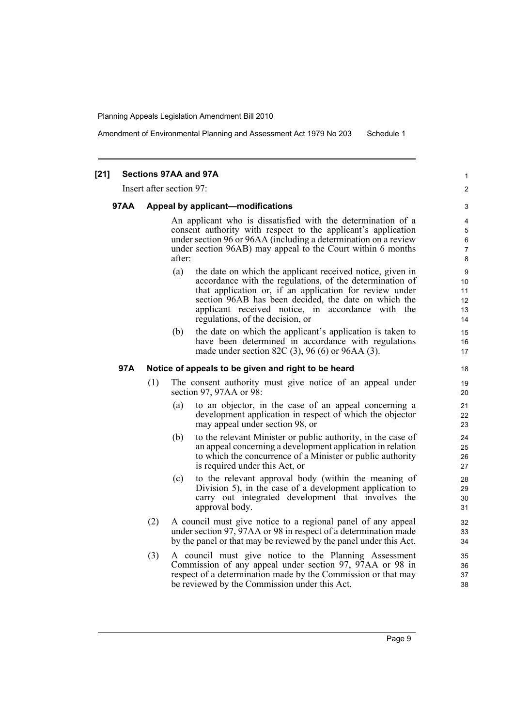Amendment of Environmental Planning and Assessment Act 1979 No 203 Schedule 1

|             | Insert after section 97: |                                                                                                                                                                                                                                                                                                                                   |
|-------------|--------------------------|-----------------------------------------------------------------------------------------------------------------------------------------------------------------------------------------------------------------------------------------------------------------------------------------------------------------------------------|
| <b>97AA</b> |                          | Appeal by applicant-modifications                                                                                                                                                                                                                                                                                                 |
|             |                          | An applicant who is dissatisfied with the determination of a<br>consent authority with respect to the applicant's application<br>under section 96 or 96AA (including a determination on a review<br>under section 96AB) may appeal to the Court within 6 months<br>after:                                                         |
|             | (a)                      | the date on which the applicant received notice, given in<br>accordance with the regulations, of the determination of<br>that application or, if an application for review under<br>section 96AB has been decided, the date on which the<br>applicant received notice, in accordance with the<br>regulations, of the decision, or |
|             | (b)                      | the date on which the applicant's application is taken to<br>have been determined in accordance with regulations<br>made under section 82C (3), 96 (6) or 96AA (3).                                                                                                                                                               |
| 97A         |                          | Notice of appeals to be given and right to be heard                                                                                                                                                                                                                                                                               |
|             | (1)                      | The consent authority must give notice of an appeal under<br>section 97, 97AA or 98:                                                                                                                                                                                                                                              |
|             | (a)                      | to an objector, in the case of an appeal concerning a<br>development application in respect of which the objector<br>may appeal under section 98, or                                                                                                                                                                              |
|             | (b)                      | to the relevant Minister or public authority, in the case of<br>an appeal concerning a development application in relation<br>to which the concurrence of a Minister or public authority<br>is required under this Act, or                                                                                                        |
|             |                          | to the relevant approval body (within the meaning of<br>(c)<br>Division 5), in the case of a development application to<br>carry out integrated development that involves the<br>approval body.                                                                                                                                   |
|             | (2)                      | A council must give notice to a regional panel of any appeal<br>under section 97, 97AA or 98 in respect of a determination made<br>by the panel or that may be reviewed by the panel under this Act.                                                                                                                              |
|             | (3)                      | A council must give notice to the Planning Assessment<br>Commission of any appeal under section 97, 97AA or 98 in<br>respect of a determination made by the Commission or that may<br>be reviewed by the Commission under this Act.                                                                                               |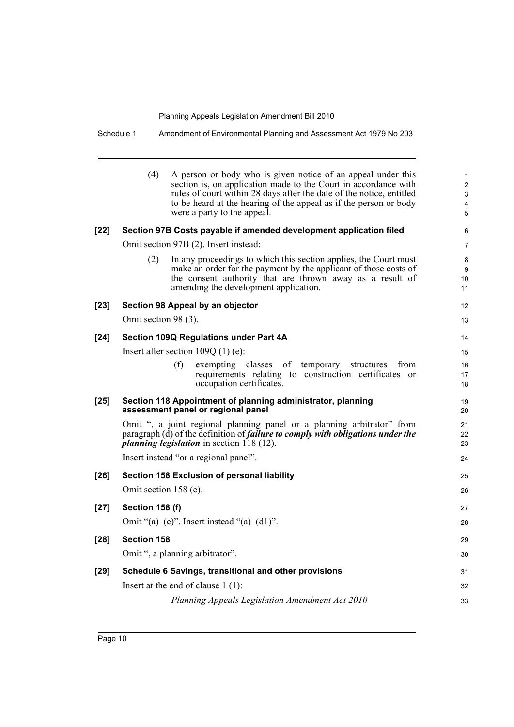Schedule 1 Amendment of Environmental Planning and Assessment Act 1979 No 203

|        | (4)                   | A person or body who is given notice of an appeal under this<br>section is, on application made to the Court in accordance with<br>rules of court within 28 days after the date of the notice, entitled<br>to be heard at the hearing of the appeal as if the person or body<br>were a party to the appeal. |
|--------|-----------------------|-------------------------------------------------------------------------------------------------------------------------------------------------------------------------------------------------------------------------------------------------------------------------------------------------------------|
| $[22]$ |                       | Section 97B Costs payable if amended development application filed                                                                                                                                                                                                                                          |
|        |                       | Omit section 97B (2). Insert instead:                                                                                                                                                                                                                                                                       |
|        | (2)                   | In any proceedings to which this section applies, the Court must<br>make an order for the payment by the applicant of those costs of<br>the consent authority that are thrown away as a result of<br>amending the development application.                                                                  |
| $[23]$ |                       | Section 98 Appeal by an objector                                                                                                                                                                                                                                                                            |
|        | Omit section 98 (3).  |                                                                                                                                                                                                                                                                                                             |
| $[24]$ |                       | Section 109Q Regulations under Part 4A                                                                                                                                                                                                                                                                      |
|        |                       | Insert after section $109Q(1)$ (e):                                                                                                                                                                                                                                                                         |
|        |                       | (f)<br>exempting classes of<br>temporary<br>structures<br>from<br>requirements relating to construction certificates<br><sub>or</sub><br>occupation certificates.                                                                                                                                           |
| $[25]$ |                       | Section 118 Appointment of planning administrator, planning<br>assessment panel or regional panel                                                                                                                                                                                                           |
|        |                       | Omit ", a joint regional planning panel or a planning arbitrator" from<br>paragraph $(d)$ of the definition of <i>failure to comply with obligations under the</i><br><i>planning legislation</i> in section $118(12)$ .                                                                                    |
|        |                       | Insert instead "or a regional panel".                                                                                                                                                                                                                                                                       |
| $[26]$ |                       | Section 158 Exclusion of personal liability                                                                                                                                                                                                                                                                 |
|        | Omit section 158 (e). |                                                                                                                                                                                                                                                                                                             |
| $[27]$ | Section 158 (f)       |                                                                                                                                                                                                                                                                                                             |
|        |                       | Omit " $(a)$ - $(e)$ ". Insert instead " $(a)$ - $(d)$ ".                                                                                                                                                                                                                                                   |
| $[28]$ | <b>Section 158</b>    |                                                                                                                                                                                                                                                                                                             |
|        |                       | Omit ", a planning arbitrator".                                                                                                                                                                                                                                                                             |
| $[29]$ |                       | Schedule 6 Savings, transitional and other provisions                                                                                                                                                                                                                                                       |
|        |                       | Insert at the end of clause $1(1)$ :                                                                                                                                                                                                                                                                        |
|        |                       | Planning Appeals Legislation Amendment Act 2010                                                                                                                                                                                                                                                             |
|        |                       |                                                                                                                                                                                                                                                                                                             |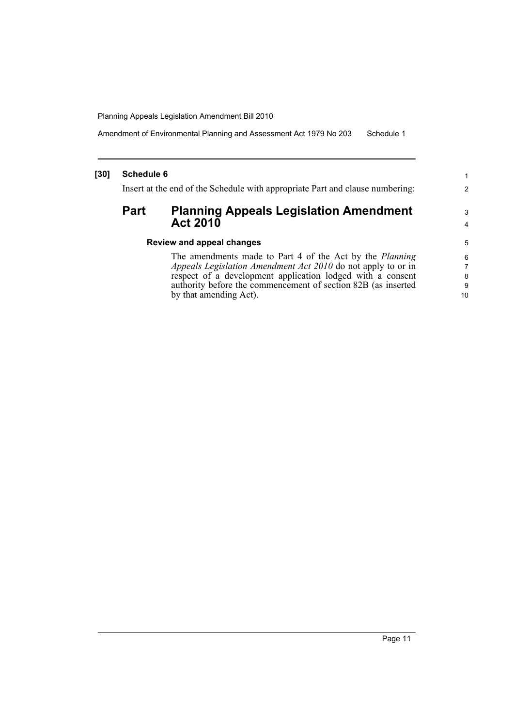Amendment of Environmental Planning and Assessment Act 1979 No 203 Schedule 1

### **[30] Schedule 6**

Insert at the end of the Schedule with appropriate Part and clause numbering:

### **Part Planning Appeals Legislation Amendment Act 2010**

### **Review and appeal changes**

The amendments made to Part 4 of the Act by the *Planning Appeals Legislation Amendment Act 2010* do not apply to or in respect of a development application lodged with a consent authority before the commencement of section 82B (as inserted by that amending Act).

10

1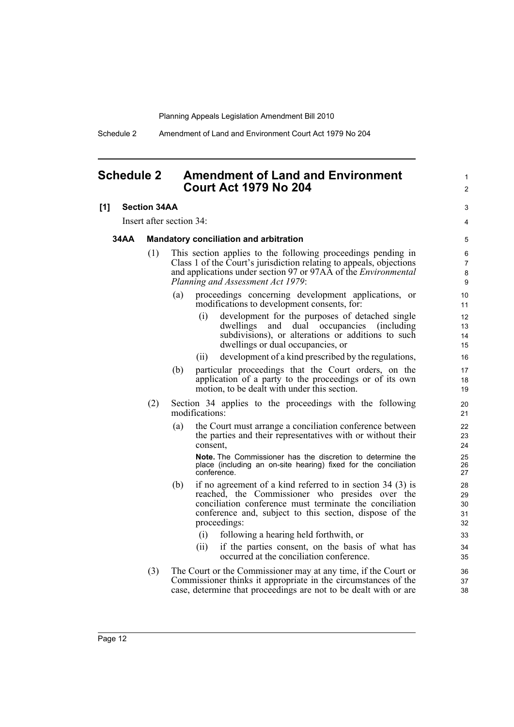Schedule 2 Amendment of Land and Environment Court Act 1979 No 204

### <span id="page-19-0"></span>**Schedule 2 Amendment of Land and Environment Court Act 1979 No 204**

#### **[1] Section 34AA**

Insert after section 34:

#### **34AA Mandatory conciliation and arbitration**

- (1) This section applies to the following proceedings pending in Class 1 of the Court's jurisdiction relating to appeals, objections and applications under section 97 or 97AA of the *Environmental Planning and Assessment Act 1979*:
	- (a) proceedings concerning development applications, or modifications to development consents, for:
		- (i) development for the purposes of detached single dwellings and dual occupancies (including subdivisions), or alterations or additions to such dwellings or dual occupancies, or

1  $\mathfrak{p}$ 

 $\overline{a}$ 4

- (ii) development of a kind prescribed by the regulations,
- (b) particular proceedings that the Court orders, on the application of a party to the proceedings or of its own motion, to be dealt with under this section.
- (2) Section 34 applies to the proceedings with the following modifications:
	- (a) the Court must arrange a conciliation conference between the parties and their representatives with or without their consent,

**Note.** The Commissioner has the discretion to determine the place (including an on-site hearing) fixed for the conciliation conference.

- (b) if no agreement of a kind referred to in section 34 (3) is reached, the Commissioner who presides over the conciliation conference must terminate the conciliation conference and, subject to this section, dispose of the proceedings:
	- (i) following a hearing held forthwith, or
	- (ii) if the parties consent, on the basis of what has occurred at the conciliation conference.
- (3) The Court or the Commissioner may at any time, if the Court or Commissioner thinks it appropriate in the circumstances of the case, determine that proceedings are not to be dealt with or are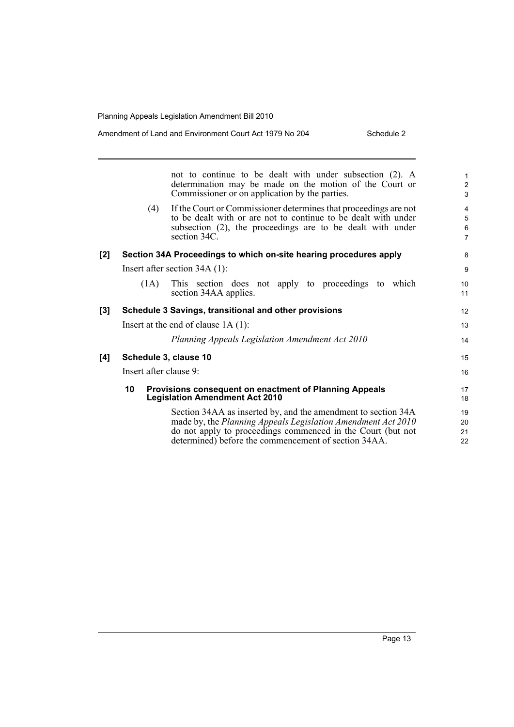#### Amendment of Land and Environment Court Act 1979 No 204 Schedule 2

not to continue to be dealt with under subsection (2). A determination may be made on the motion of the Court or Commissioner or on application by the parties. (4) If the Court or Commissioner determines that proceedings are not to be dealt with or are not to continue to be dealt with under subsection (2), the proceedings are to be dealt with under section 34C. **[2] Section 34A Proceedings to which on-site hearing procedures apply** Insert after section 34A (1): (1A) This section does not apply to proceedings to which section 34AA applies. **[3] Schedule 3 Savings, transitional and other provisions** Insert at the end of clause 1A (1): *Planning Appeals Legislation Amendment Act 2010* **[4] Schedule 3, clause 10** Insert after clause 9: **10 Provisions consequent on enactment of Planning Appeals Legislation Amendment Act 2010** Section 34AA as inserted by, and the amendment to section 34A made by, the *Planning Appeals Legislation Amendment Act 2010* do not apply to proceedings commenced in the Court (but not determined) before the commencement of section 34AA. 1 2 3 4 5 6 7 8 9 10 11 12 13 14 15 16 17 18 19 20 21 22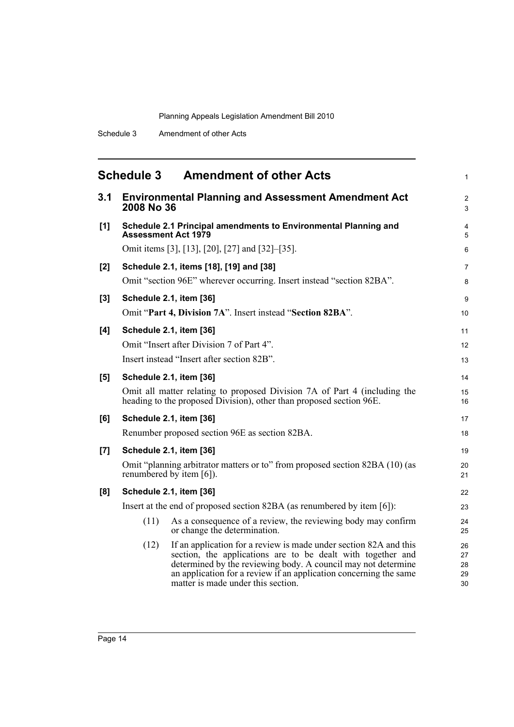<span id="page-21-0"></span>

|       | <b>Schedule 3</b>                                                                                                                                | <b>Amendment of other Acts</b>                                                                                                                                                                                                                                                                               | $\mathbf{1}$               |  |  |  |
|-------|--------------------------------------------------------------------------------------------------------------------------------------------------|--------------------------------------------------------------------------------------------------------------------------------------------------------------------------------------------------------------------------------------------------------------------------------------------------------------|----------------------------|--|--|--|
| 3.1   | 2008 No 36                                                                                                                                       | <b>Environmental Planning and Assessment Amendment Act</b>                                                                                                                                                                                                                                                   | 2<br>3                     |  |  |  |
| [1]   | <b>Assessment Act 1979</b>                                                                                                                       | Schedule 2.1 Principal amendments to Environmental Planning and                                                                                                                                                                                                                                              | $\overline{4}$<br>5        |  |  |  |
|       |                                                                                                                                                  | Omit items [3], [13], [20], [27] and [32]–[35].                                                                                                                                                                                                                                                              | 6                          |  |  |  |
| [2]   |                                                                                                                                                  | Schedule 2.1, items [18], [19] and [38]                                                                                                                                                                                                                                                                      | $\overline{7}$             |  |  |  |
|       |                                                                                                                                                  | Omit "section 96E" wherever occurring. Insert instead "section 82BA".                                                                                                                                                                                                                                        | 8                          |  |  |  |
| $[3]$ |                                                                                                                                                  | Schedule 2.1, item [36]                                                                                                                                                                                                                                                                                      | 9                          |  |  |  |
|       |                                                                                                                                                  | Omit "Part 4, Division 7A". Insert instead "Section 82BA".                                                                                                                                                                                                                                                   | 10                         |  |  |  |
| [4]   |                                                                                                                                                  | Schedule 2.1, item [36]                                                                                                                                                                                                                                                                                      | 11                         |  |  |  |
|       |                                                                                                                                                  | Omit "Insert after Division 7 of Part 4".                                                                                                                                                                                                                                                                    | 12                         |  |  |  |
|       |                                                                                                                                                  | Insert instead "Insert after section 82B".                                                                                                                                                                                                                                                                   | 13                         |  |  |  |
| [5]   | Schedule 2.1, item [36]                                                                                                                          |                                                                                                                                                                                                                                                                                                              |                            |  |  |  |
|       | Omit all matter relating to proposed Division 7A of Part 4 (including the<br>heading to the proposed Division), other than proposed section 96E. |                                                                                                                                                                                                                                                                                                              |                            |  |  |  |
| [6]   | Schedule 2.1, item [36]<br>17                                                                                                                    |                                                                                                                                                                                                                                                                                                              |                            |  |  |  |
|       | Renumber proposed section 96E as section 82BA.<br>18                                                                                             |                                                                                                                                                                                                                                                                                                              |                            |  |  |  |
| [7]   |                                                                                                                                                  | Schedule 2.1, item [36]                                                                                                                                                                                                                                                                                      | 19                         |  |  |  |
|       |                                                                                                                                                  | Omit "planning arbitrator matters or to" from proposed section 82BA (10) (as<br>renumbered by item [6]).                                                                                                                                                                                                     | 20<br>21                   |  |  |  |
| [8]   |                                                                                                                                                  | Schedule 2.1, item [36]                                                                                                                                                                                                                                                                                      | 22                         |  |  |  |
|       |                                                                                                                                                  | Insert at the end of proposed section 82BA (as renumbered by item [6]):                                                                                                                                                                                                                                      | 23                         |  |  |  |
|       | (11)                                                                                                                                             | As a consequence of a review, the reviewing body may confirm<br>or change the determination.                                                                                                                                                                                                                 | 24<br>25                   |  |  |  |
|       | (12)                                                                                                                                             | If an application for a review is made under section 82A and this<br>section, the applications are to be dealt with together and<br>determined by the reviewing body. A council may not determine<br>an application for a review if an application concerning the same<br>matter is made under this section. | 26<br>27<br>28<br>29<br>30 |  |  |  |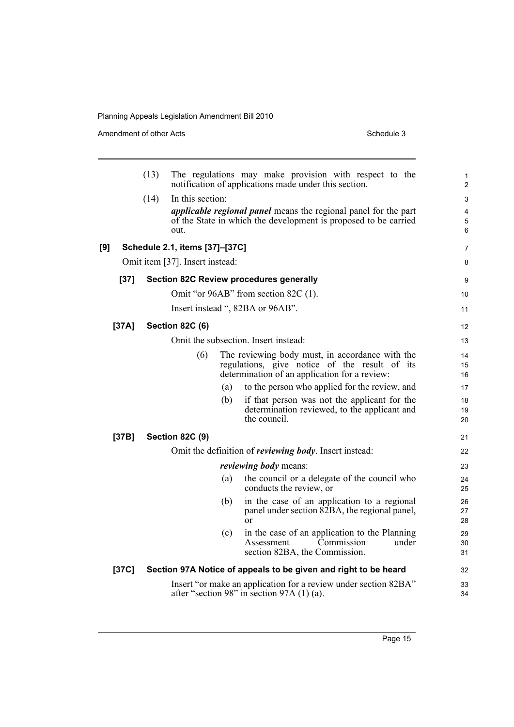Amendment of other Acts Schedule 3

|        | (13) |                                 |     | The regulations may make provision with respect to the<br>notification of applications made under this section. | $\mathbf{1}$<br>2 |
|--------|------|---------------------------------|-----|-----------------------------------------------------------------------------------------------------------------|-------------------|
|        | (14) | In this section:                |     |                                                                                                                 | 3                 |
|        |      |                                 |     | <i>applicable regional panel</i> means the regional panel for the part                                          | 4                 |
|        |      |                                 |     | of the State in which the development is proposed to be carried                                                 | 5                 |
|        |      | out.                            |     |                                                                                                                 | 6                 |
| [9]    |      | Schedule 2.1, items [37]-[37C]  |     |                                                                                                                 | $\overline{7}$    |
|        |      | Omit item [37]. Insert instead: |     |                                                                                                                 | 8                 |
| $[37]$ |      |                                 |     | Section 82C Review procedures generally                                                                         | 9                 |
|        |      |                                 |     | Omit "or 96AB" from section 82C (1).                                                                            | 10                |
|        |      |                                 |     | Insert instead ", 82BA or 96AB".                                                                                | 11                |
| [37A]  |      | <b>Section 82C (6)</b>          |     |                                                                                                                 | $12 \overline{ }$ |
|        |      |                                 |     | Omit the subsection. Insert instead:                                                                            | 13                |
|        |      | (6)                             |     | The reviewing body must, in accordance with the                                                                 | 14                |
|        |      |                                 |     | regulations, give notice of the result of its                                                                   | 15                |
|        |      |                                 |     | determination of an application for a review:                                                                   | 16                |
|        |      |                                 | (a) | to the person who applied for the review, and                                                                   | 17                |
|        |      |                                 | (b) | if that person was not the applicant for the                                                                    | 18                |
|        |      |                                 |     | determination reviewed, to the applicant and<br>the council.                                                    | 19<br>20          |
| [37B]  |      | <b>Section 82C (9)</b>          |     |                                                                                                                 | 21                |
|        |      |                                 |     | Omit the definition of <i>reviewing body</i> . Insert instead:                                                  | 22                |
|        |      |                                 |     | <i>reviewing body</i> means:                                                                                    | 23                |
|        |      |                                 | (a) | the council or a delegate of the council who<br>conducts the review, or                                         | 24<br>25          |
|        |      |                                 | (b) | in the case of an application to a regional<br>panel under section 82BA, the regional panel,                    | 26<br>27          |
|        |      |                                 |     | $\alpha$ r                                                                                                      | 28                |
|        |      |                                 | (c) | in the case of an application to the Planning                                                                   | 29                |
|        |      |                                 |     | Commission<br>Assessment<br>under<br>section 82BA, the Commission.                                              | 30                |
|        |      |                                 |     |                                                                                                                 | 31                |
| [37C]  |      |                                 |     | Section 97A Notice of appeals to be given and right to be heard                                                 | 32                |
|        |      |                                 |     | Insert "or make an application for a review under section 82BA"<br>after "section 98" in section 97A (1) (a).   | 33<br>34          |
|        |      |                                 |     |                                                                                                                 |                   |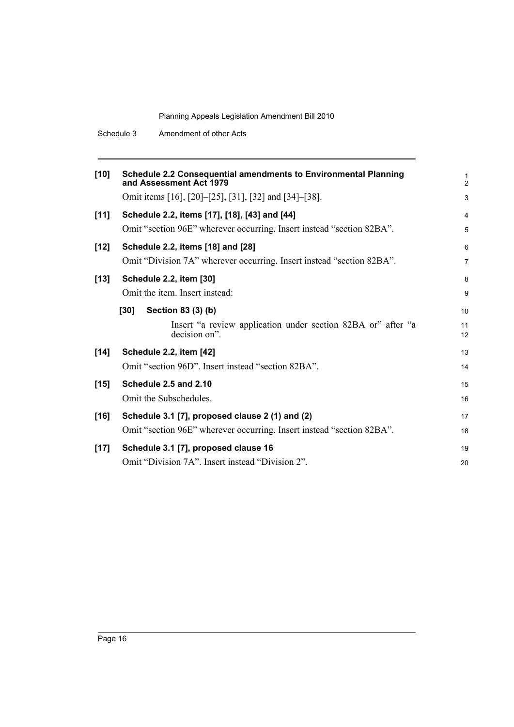| Schedule 3 | Amendment of other Acts |
|------------|-------------------------|
|------------|-------------------------|

| $[10]$ | <b>Schedule 2.2 Consequential amendments to Environmental Planning</b><br>and Assessment Act 1979 | 1<br>$\overline{2}$ |
|--------|---------------------------------------------------------------------------------------------------|---------------------|
|        | Omit items [16], [20]–[25], [31], [32] and [34]–[38].                                             | 3                   |
| $[11]$ | Schedule 2.2, items [17], [18], [43] and [44]                                                     | 4                   |
|        | Omit "section 96E" wherever occurring. Insert instead "section 82BA".                             | 5                   |
| $[12]$ | Schedule 2.2, items [18] and [28]                                                                 | 6                   |
|        | Omit "Division 7A" wherever occurring. Insert instead "section 82BA".                             | $\overline{7}$      |
| $[13]$ | Schedule 2.2, item [30]                                                                           | 8                   |
|        | Omit the item. Insert instead:                                                                    | 9                   |
|        | $[30]$<br>Section 83 (3) (b)                                                                      | 10                  |
|        | Insert "a review application under section 82BA or" after "a<br>decision on".                     | 11<br>12            |
| $[14]$ | Schedule 2.2, item [42]                                                                           | 13                  |
|        | Omit "section 96D". Insert instead "section 82BA".                                                | 14                  |
| $[15]$ | Schedule 2.5 and 2.10                                                                             | 15                  |
|        | Omit the Subschedules.                                                                            | 16                  |
| $[16]$ | Schedule 3.1 [7], proposed clause 2 (1) and (2)                                                   | 17                  |
|        | Omit "section 96E" wherever occurring. Insert instead "section 82BA".                             | 18                  |
| $[17]$ | Schedule 3.1 [7], proposed clause 16                                                              | 19                  |
|        | Omit "Division 7A". Insert instead "Division 2".                                                  | 20                  |